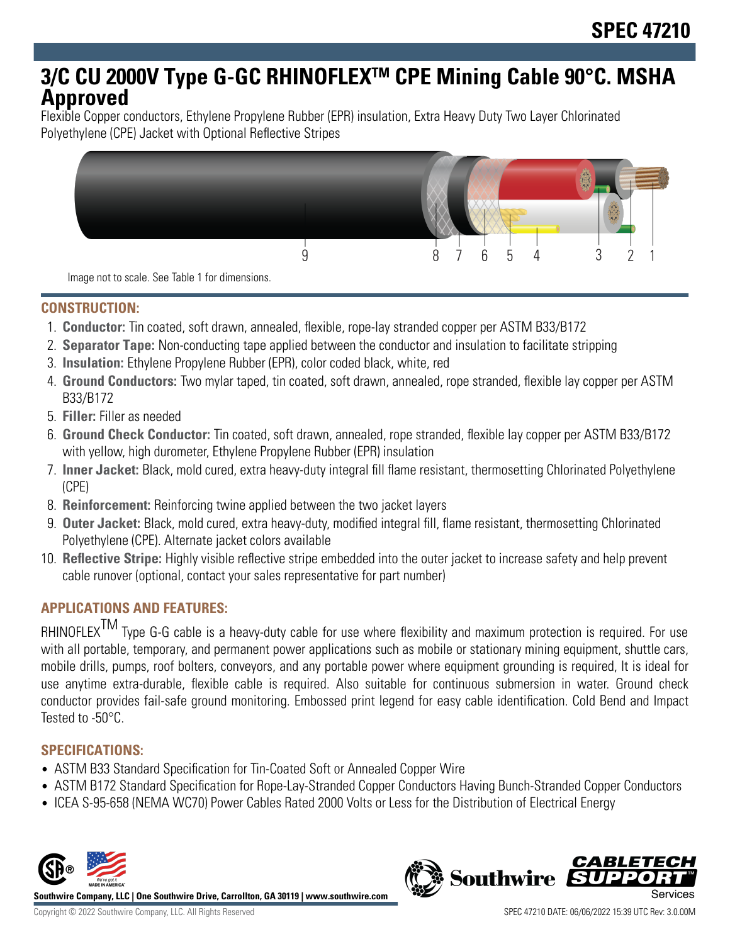# **3/C CU 2000V Type G-GC RHINOFLEXTM CPE Mining Cable 90°C. MSHA Approved**

Flexible Copper conductors, Ethylene Propylene Rubber (EPR) insulation, Extra Heavy Duty Two Layer Chlorinated Polyethylene (CPE) Jacket with Optional Reflective Stripes



Image not to scale. See Table 1 for dimensions.

### **CONSTRUCTION:**

- 1. **Conductor:** Tin coated, soft drawn, annealed, flexible, rope-lay stranded copper per ASTM B33/B172
- 2. **Separator Tape:** Non-conducting tape applied between the conductor and insulation to facilitate stripping
- 3. **Insulation:** Ethylene Propylene Rubber (EPR), color coded black, white, red
- 4. **Ground Conductors:** Two mylar taped, tin coated, soft drawn, annealed, rope stranded, flexible lay copper per ASTM B33/B172
- 5. **Filler:** Filler as needed
- 6. **Ground Check Conductor:** Tin coated, soft drawn, annealed, rope stranded, flexible lay copper per ASTM B33/B172 with yellow, high durometer, Ethylene Propylene Rubber (EPR) insulation
- 7. **Inner Jacket:** Black, mold cured, extra heavy-duty integral fill flame resistant, thermosetting Chlorinated Polyethylene (CPE)
- 8. **Reinforcement:** Reinforcing twine applied between the two jacket layers
- 9. **Outer Jacket:** Black, mold cured, extra heavy-duty, modified integral fill, flame resistant, thermosetting Chlorinated Polyethylene (CPE). Alternate jacket colors available
- 10. **Reflective Stripe:** Highly visible reflective stripe embedded into the outer jacket to increase safety and help prevent cable runover (optional, contact your sales representative for part number)

### **APPLICATIONS AND FEATURES:**

RHINOFLEX<sup>TM</sup> Type G-G cable is a heavy-duty cable for use where flexibility and maximum protection is required. For use with all portable, temporary, and permanent power applications such as mobile or stationary mining equipment, shuttle cars, mobile drills, pumps, roof bolters, conveyors, and any portable power where equipment grounding is required, It is ideal for use anytime extra-durable, flexible cable is required. Also suitable for continuous submersion in water. Ground check conductor provides fail-safe ground monitoring. Embossed print legend for easy cable identification. Cold Bend and Impact Tested to -50°C.

### **SPECIFICATIONS:**

- ASTM B33 Standard Specification for Tin-Coated Soft or Annealed Copper Wire
- ASTM B172 Standard Specification for Rope-Lay-Stranded Copper Conductors Having Bunch-Stranded Copper Conductors
- ICEA S-95-658 (NEMA WC70) Power Cables Rated 2000 Volts or Less for the Distribution of Electrical Energy



**Southwire Company, LLC | One Southwire Drive, Carrollton, GA 30119 | www.southwire.com**

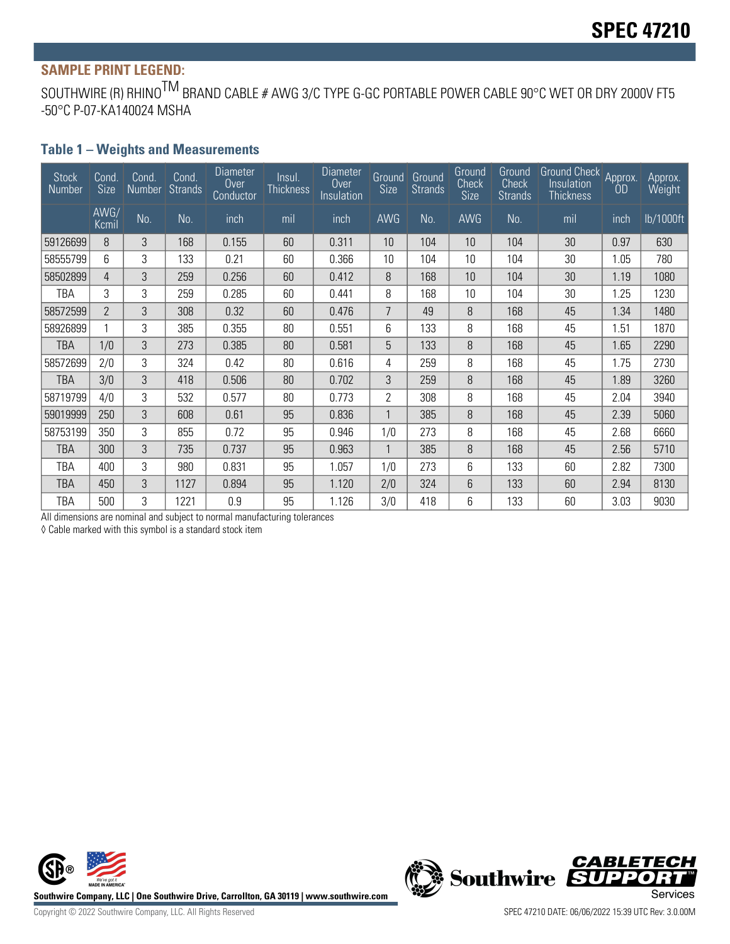## **SAMPLE PRINT LEGEND:**

SOUTHWIRE (R) RHINO<sup>TM</sup> BRAND CABLE # AWG 3/C TYPE G-GC PORTABLE POWER CABLE 90°C WET OR DRY 2000V FT5 -50°C P-07-KA140024 MSHA

#### **Table 1 – Weights and Measurements**

| <b>Stock</b><br>Number | Cond.<br>Size  | Cond.<br>Number | Cond.<br><b>Strands</b> | <b>Diameter</b><br><b>Over</b><br>Conductor | lnsul.<br><b>Thickness</b> | <b>Diameter</b><br>Over<br>Insulation | Ground<br><b>Size</b> | Ground<br><b>Strands</b> | Ground<br>Check<br><b>Size</b> | Ground<br><b>Check</b><br><b>Strands</b> | Ground Check Approx.<br>Insulation<br><b>Thickness</b> | 0D   | Approx.<br>Weight |
|------------------------|----------------|-----------------|-------------------------|---------------------------------------------|----------------------------|---------------------------------------|-----------------------|--------------------------|--------------------------------|------------------------------------------|--------------------------------------------------------|------|-------------------|
|                        | AWG/<br>Kcmil  | No.             | No.                     | inch                                        | mil                        | inch                                  | AWG                   | No.                      | <b>AWG</b>                     | No.                                      | mil                                                    | inch | lb/1000ft         |
| 59126699               | 8              | 3               | 168                     | 0.155                                       | 60                         | 0.311                                 | 10                    | 104                      | 10                             | 104                                      | 30                                                     | 0.97 | 630               |
| 58555799               | 6              | 3               | 133                     | 0.21                                        | 60                         | 0.366                                 | 10                    | 104                      | 10                             | 104                                      | 30                                                     | 1.05 | 780               |
| 58502899               | 4              | 3               | 259                     | 0.256                                       | 60                         | 0.412                                 | 8                     | 168                      | 10                             | 104                                      | 30                                                     | 1.19 | 1080              |
| TBA                    | 3              | 3               | 259                     | 0.285                                       | 60                         | 0.441                                 | 8                     | 168                      | 10                             | 104                                      | 30                                                     | 1.25 | 1230              |
| 58572599               | $\overline{2}$ | 3               | 308                     | 0.32                                        | 60                         | 0.476                                 | 7                     | 49                       | 8                              | 168                                      | 45                                                     | 1.34 | 1480              |
| 58926899               |                | 3               | 385                     | 0.355                                       | 80                         | 0.551                                 | 6                     | 133                      | 8                              | 168                                      | 45                                                     | 1.51 | 1870              |
| <b>TBA</b>             | 1/0            | 3               | 273                     | 0.385                                       | 80                         | 0.581                                 | 5                     | 133                      | 8                              | 168                                      | 45                                                     | 1.65 | 2290              |
| 58572699               | 2/0            | 3               | 324                     | 0.42                                        | 80                         | 0.616                                 | 4                     | 259                      | 8                              | 168                                      | 45                                                     | 1.75 | 2730              |
| <b>TBA</b>             | 3/0            | 3               | 418                     | 0.506                                       | 80                         | 0.702                                 | 3                     | 259                      | 8                              | 168                                      | 45                                                     | 1.89 | 3260              |
| 58719799               | 4/0            | 3               | 532                     | 0.577                                       | 80                         | 0.773                                 | $\mathbf{2}$          | 308                      | 8                              | 168                                      | 45                                                     | 2.04 | 3940              |
| 59019999               | 250            | 3               | 608                     | 0.61                                        | 95                         | 0.836                                 | 1                     | 385                      | 8                              | 168                                      | 45                                                     | 2.39 | 5060              |
| 58753199               | 350            | 3               | 855                     | 0.72                                        | 95                         | 0.946                                 | 1/0                   | 273                      | 8                              | 168                                      | 45                                                     | 2.68 | 6660              |
| TBA                    | 300            | 3               | 735                     | 0.737                                       | 95                         | 0.963                                 | 1                     | 385                      | 8                              | 168                                      | 45                                                     | 2.56 | 5710              |
| TBA                    | 400            | 3               | 980                     | 0.831                                       | 95                         | 1.057                                 | 1/0                   | 273                      | 6                              | 133                                      | 60                                                     | 2.82 | 7300              |
| TBA                    | 450            | 3               | 1127                    | 0.894                                       | 95                         | 1.120                                 | 2/0                   | 324                      | 6                              | 133                                      | 60                                                     | 2.94 | 8130              |
| TBA                    | 500            | 3               | 1221                    | 0.9                                         | 95                         | 1.126                                 | 3/0                   | 418                      | 6                              | 133                                      | 60                                                     | 3.03 | 9030              |

All dimensions are nominal and subject to normal manufacturing tolerances

◊ Cable marked with this symbol is a standard stock item



**CABLETECH**